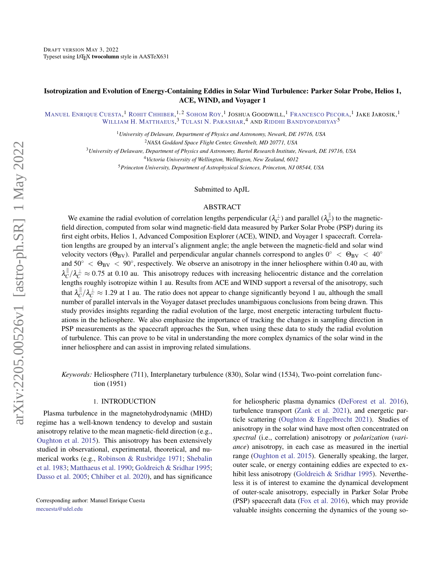# Isotropization and Evolution of Energy-Containing Eddies in Solar Wind Turbulence: Parker Solar Probe, Helios 1, ACE, WIND, and Voyager 1

MANUEL E[NRIQUE](http://orcid.org/0000-0002-7341-2992) CUESTA, <sup>1</sup> ROHIT C[HHIBER](http://orcid.org/0000-0002-7174-6948), <sup>1, 2</sup> S[OHOM](http://orcid.org/0000-0003-3891-5495) ROY, <sup>1</sup> JOSHUA GOODWILL, <sup>1</sup> F[RANCESCO](http://orcid.org/0000-0003-4168-590X) PECORA, <sup>1</sup> JAKE JAROSIK, <sup>1</sup> WILLIAM H. M[ATTHAEUS](http://orcid.org/0000-0001-7224-6024),<sup>3</sup> TULASI N. P[ARASHAR](http://orcid.org/0000-0003-0602-8381),<sup>4</sup> and Riddhi Bandyopadhyay<sup>5</sup>

> <sup>1</sup>*University of Delaware, Department of Physics and Astronomy, Newark, DE 19716, USA* <sup>2</sup>*NASA Goddard Space Flight Center, Greenbelt, MD 20771, USA*

<sup>3</sup>*University of Delaware, Department of Physics and Astronomy, Bartol Research Institute, Newark, DE 19716, USA*

<sup>4</sup>*Victoria University of Wellington, Wellington, New Zealand, 6012*

<sup>5</sup>*Princeton University, Department of Astrophysical Sciences, Princeton, NJ 08544, USA*

Submitted to ApJL

## ABSTRACT

We examine the radial evolution of correlation lengths perpendicular  $(\lambda_C^\perp)$  and parallel  $(\lambda_C^\parallel$  $\binom{0}{C}$  to the magneticfield direction, computed from solar wind magnetic-field data measured by Parker Solar Probe (PSP) during its first eight orbits, Helios 1, Advanced Composition Explorer (ACE), WIND, and Voyager 1 spacecraft. Correlation lengths are grouped by an interval's alignment angle; the angle between the magnetic-field and solar wind velocity vectors ( $\Theta_{\rm BV}$ ). Parallel and perpendicular angular channels correspond to angles  $0^\circ < \Theta_{\rm BV} < 40^\circ$ and  $50° < \Theta_{BV} < 90°$ , respectively. We observe an anisotropy in the inner heliosphere within 0.40 au, with  $\lambda_{C}^{\parallel}$  $\int_C^{\parallel}/\lambda_C^{\perp} \approx 0.75$  at 0.10 au. This anisotropy reduces with increasing heliocentric distance and the correlation lengths roughly isotropize within 1 au. Results from ACE and WIND support a reversal of the anisotropy, such that  $\lambda_C^{\parallel}$  ${}^{\parallel}_{C}/\lambda_C^{\perp} \approx 1.29$  at 1 au. The ratio does not appear to change significantly beyond 1 au, although the small number of parallel intervals in the Voyager dataset precludes unambiguous conclusions from being drawn. This study provides insights regarding the radial evolution of the large, most energetic interacting turbulent fluctuations in the heliosphere. We also emphasize the importance of tracking the changes in sampling direction in PSP measurements as the spacecraft approaches the Sun, when using these data to study the radial evolution of turbulence. This can prove to be vital in understanding the more complex dynamics of the solar wind in the inner heliosphere and can assist in improving related simulations.

*Keywords:* Heliosphere (711), Interplanetary turbulence (830), Solar wind (1534), Two-point correlation function (1951)

### 1. INTRODUCTION

Plasma turbulence in the magnetohydrodynamic (MHD) regime has a well-known tendency to develop and sustain anisotropy relative to the mean magnetic-field direction (e.g., [Oughton et al.](#page-7-0) [2015\)](#page-7-0). This anisotropy has been extensively studied in observational, experimental, theoretical, and numerical works (e.g., [Robinson & Rusbridge](#page-7-1) [1971;](#page-7-1) [Shebalin](#page-7-2) [et al.](#page-7-2) [1983;](#page-7-2) [Matthaeus et al.](#page-7-3) [1990;](#page-7-3) [Goldreich & Sridhar](#page-7-4) [1995;](#page-7-4) [Dasso et al.](#page-7-5) [2005;](#page-7-5) [Chhiber et al.](#page-7-6) [2020\)](#page-7-6), and has significance

Corresponding author: Manuel Enrique Cuesta [mecuesta@udel.edu](mailto: mecuesta@udel.edu)

for heliospheric plasma dynamics [\(DeForest et al.](#page-7-7) [2016\)](#page-7-7), turbulence transport [\(Zank et al.](#page-8-0) [2021\)](#page-8-0), and energetic particle scattering [\(Oughton & Engelbrecht](#page-7-8) [2021\)](#page-7-8). Studies of anisotropy in the solar wind have most often concentrated on *spectral* (i.e., correlation) anisotropy or *polarization* (*variance*) anisotropy, in each case as measured in the inertial range [\(Oughton et al.](#page-7-0) [2015\)](#page-7-0). Generally speaking, the larger, outer scale, or energy containing eddies are expected to ex-hibit less anisotropy [\(Goldreich & Sridhar](#page-7-4) [1995\)](#page-7-4). Nevertheless it is of interest to examine the dynamical development of outer-scale anisotropy, especially in Parker Solar Probe (PSP) spacecraft data [\(Fox et al.](#page-7-9) [2016\)](#page-7-9), which may provide valuable insights concerning the dynamics of the young so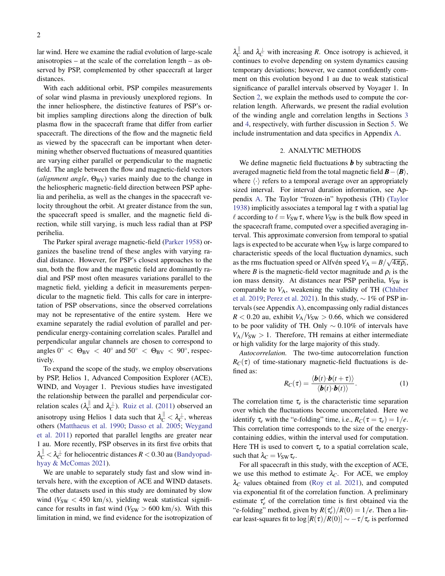lar wind. Here we examine the radial evolution of large-scale anisotropies – at the scale of the correlation length – as observed by PSP, complemented by other spacecraft at larger distances.

With each additional orbit, PSP compiles measurements of solar wind plasma in previously unexplored regions. In the inner heliosphere, the distinctive features of PSP's orbit implies sampling directions along the direction of bulk plasma flow in the spacecraft frame that differ from earlier spacecraft. The directions of the flow and the magnetic field as viewed by the spacecraft can be important when determining whether observed fluctuations of measured quantities are varying either parallel or perpendicular to the magnetic field. The angle between the flow and magnetic-field vectors (*alignment angle*,  $\Theta_{\rm BV}$ ) varies mainly due to the change in the heliospheric magnetic-field direction between PSP aphelia and perihelia, as well as the changes in the spacecraft velocity throughout the orbit. At greater distance from the sun, the spacecraft speed is smaller, and the magnetic field direction, while still varying, is much less radial than at PSP perihelia.

The Parker spiral average magnetic-field [\(Parker](#page-7-10) [1958\)](#page-7-10) organizes the baseline trend of these angles with varying radial distance. However, for PSP's closest approaches to the sun, both the flow and the magnetic field are dominantly radial and PSP most often measures variations parallel to the magnetic field, yielding a deficit in measurements perpendicular to the magnetic field. This calls for care in interpretation of PSP observations, since the observed correlations may not be representative of the entire system. Here we examine separately the radial evolution of parallel and perpendicular energy-containing correlation scales. Parallel and perpendicular angular channels are chosen to correspond to angles  $0^{\circ}$  <  $\Theta_{\rm BV}$  <  $40^{\circ}$  and  $50^{\circ}$  <  $\Theta_{\rm BV}$  <  $90^{\circ}$ , respectively.

To expand the scope of the study, we employ observations by PSP, Helios 1, Advanced Composition Explorer (ACE), WIND, and Voyager 1. Previous studies have investigated the relationship between the parallel and perpendicular correlation scales ( $\lambda_C^{\parallel}$  $C_{\mathcal{C}}^{\parallel}$  and  $\lambda_C^{\perp}$ ). [Ruiz et al.](#page-7-11) [\(2011\)](#page-7-11) observed an anisotropy using Helios 1 data such that  $\lambda_C^{\parallel} < \lambda_C^{\perp}$ , whereas others [\(Matthaeus et al.](#page-7-3) [1990;](#page-7-3) [Dasso et al.](#page-7-5) [2005;](#page-7-5) [Weygand](#page-7-12) [et al.](#page-7-12) [2011\)](#page-7-12) reported that parallel lengths are greater near 1 au. More recently, PSP observes in its first five orbits that  $\lambda_{C}^{\parallel} < \lambda_{C}^{\perp}$  for heliocentric distances  $R < 0.30$  au [\(Bandyopad](#page-7-13)[hyay & McComas](#page-7-13) [2021\)](#page-7-13).

We are unable to separately study fast and slow wind intervals here, with the exception of ACE and WIND datasets. The other datasets used in this study are dominated by slow wind ( $V_{SW}$  < 450 km/s), yielding weak statistical significance for results in fast wind  $(V_{SW} > 600 \text{ km/s})$ . With this limitation in mind, we find evidence for the isotropization of

 $\lambda_{C}^{\parallel}$  $C_{\text{C}}^{\parallel}$  and  $\lambda_C^{\perp}$  with increasing *R*. Once isotropy is achieved, it continues to evolve depending on system dynamics causing temporary deviations; however, we cannot confidently comment on this evolution beyond 1 au due to weak statistical significance of parallel intervals observed by Voyager 1. In Section [2,](#page-1-0) we explain the methods used to compute the correlation length. Afterwards, we present the radial evolution of the winding angle and correlation lengths in Sections [3](#page-2-0) and [4,](#page-2-1) respectively, with further discussion in Section [5.](#page-4-0) We include instrumentation and data specifics in Appendix [A.](#page-5-0)

## 2. ANALYTIC METHODS

<span id="page-1-0"></span>We define magnetic field fluctuations *b* by subtracting the averaged magnetic field from the total magnetic field  $\mathbf{B}-\langle \mathbf{B} \rangle$ , where  $\langle \cdot \rangle$  refers to a temporal average over an appropriately sized interval. For interval duration information, see Appendix [A.](#page-5-0) The Taylor "frozen-in" hypothesis (TH) [\(Taylor](#page-7-14) [1938\)](#page-7-14) implicitly associates a temporal lag  $\tau$  with a spatial lag  $\ell$  according to  $\ell = V_{SW}\tau$ , where  $V_{SW}$  is the bulk flow speed in the spacecraft frame, computed over a specified averaging interval. This approximate conversion from temporal to spatial lags is expected to be accurate when  $V_{SW}$  is large compared to characteristic speeds of the local fluctuation dynamics, such √ as the rms fluctuation speed or Alfvén speed  $V_A = B/\sqrt{4\pi\rho_i}$ , where *B* is the magnetic-field vector magnitude and  $\rho_i$  is the ion mass density. At distances near PSP perihelia,  $V_{SW}$  is comparable to  $V_A$ , weakening the validity of TH [\(Chhiber](#page-7-15) [et al.](#page-7-15) [2019;](#page-7-15) [Perez et al.](#page-7-16) [2021\)](#page-7-16). In this study, ∼ 1% of PSP intervals (see Appendix [A\)](#page-5-0), encompassing only radial distances  $R < 0.20$  au, exhibit  $V_A/V_{SW} > 0.66$ , which we considered to be poor validity of TH. Only  $\sim 0.10\%$  of intervals have  $V_A/V_{SW} > 1$ . Therefore, TH remains at either intermediate or high validity for the large majority of this study.

*Autocorrelation.* The two-time autocorrelation function  $R_C(\tau)$  of time-stationary magnetic-field fluctuations is defined as:

$$
R_C(\tau) = \frac{\langle \boldsymbol{b}(t) \cdot \boldsymbol{b}(t+\tau) \rangle}{\langle \boldsymbol{b}(t) \cdot \boldsymbol{b}(t) \rangle}.
$$
 (1)

The correlation time  $\tau_e$  is the characteristic time separation over which the fluctuations become uncorrelated. Here we identify  $\tau_e$  with the "e-folding" time, i.e.,  $R_C(\tau = \tau_e) = 1/e$ . This correlation time corresponds to the size of the energycontaining eddies, within the interval used for computation. Here TH is used to convert  $\tau_e$  to a spatial correlation scale, such that  $\lambda_C = V_{SW} \tau_e$ .

For all spacecraft in this study, with the exception of ACE, we use this method to estimate  $\lambda_C$ . For ACE, we employ  $\lambda_C$  values obtained from [\(Roy et al.](#page-7-17) [2021\)](#page-7-17), and computed via exponential fit of the correlation function. A preliminary estimate  $\tau'_e$  of the correlation time is first obtained via the "e-folding" method, given by  $R(\tau_e)/R(0) = 1/e$ . Then a linear least-squares fit to  $\log[R(\tau)/R(0)] \sim -\tau/\tau_e$  is performed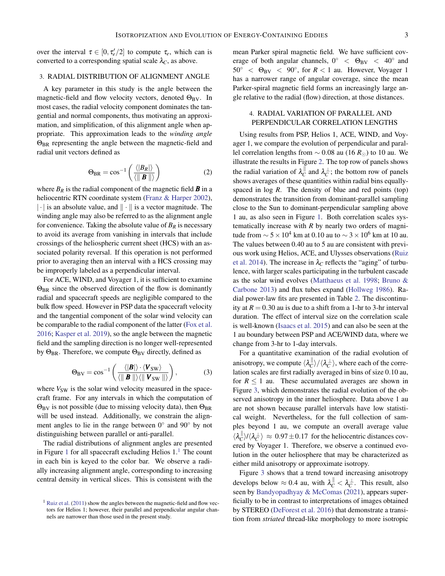## <span id="page-2-0"></span>3. RADIAL DISTRIBUTION OF ALIGNMENT ANGLE

A key parameter in this study is the angle between the magnetic-field and flow velocity vectors, denoted  $\Theta_{\rm BV}$ . In most cases, the radial velocity component dominates the tangential and normal components, thus motivating an approximation, and simplification, of this alignment angle when appropriate. This approximation leads to the *winding angle* Θ<sub>BR</sub> representing the angle between the magnetic-field and radial unit vectors defined as

$$
\Theta_{\rm BR} = \cos^{-1} \left( \frac{\langle |B_R| \rangle}{\langle ||\mathbf{B}|| \rangle} \right) \tag{2}
$$

where  $B_R$  is the radial component of the magnetic field  $\boldsymbol{B}$  in a heliocentric RTN coordinate system [\(Franz & Harper](#page-7-18) [2002\)](#page-7-18),  $|\cdot|$  is an absolute value, and  $\|\cdot\|$  is a vector magnitude. The winding angle may also be referred to as the alignment angle for convenience. Taking the absolute value of  $B_R$  is necessary to avoid its average from vanishing in intervals that include crossings of the heliospheric current sheet (HCS) with an associated polarity reversal. If this operation is not performed prior to averaging then an interval with a HCS crossing may be improperly labeled as a perpendicular interval.

For ACE, WIND, and Voyager 1, it is sufficient to examine  $\Theta_{BR}$  since the observed direction of the flow is dominantly radial and spacecraft speeds are negligible compared to the bulk flow speed. However in PSP data the spacecraft velocity and the tangential component of the solar wind velocity can be comparable to the radial component of the latter [\(Fox et al.](#page-7-9) [2016;](#page-7-9) [Kasper et al.](#page-7-19) [2019\)](#page-7-19), so the angle between the magnetic field and the sampling direction is no longer well-represented by  $\Theta_{BR}$ . Therefore, we compute  $\Theta_{BV}$  directly, defined as

$$
\Theta_{\rm BV} = \cos^{-1}\left(\frac{\langle |\boldsymbol{B}| \rangle \cdot \langle \boldsymbol{V}_{\rm SW} \rangle}{\langle ||\boldsymbol{B}|| \rangle \langle ||\boldsymbol{V}_{\rm SW}|| \rangle}\right),\tag{3}
$$

where  $V_{SW}$  is the solar wind velocity measured in the spacecraft frame. For any intervals in which the computation of  $\Theta_{\rm BV}$  is not possible (due to missing velocity data), then  $\Theta_{\rm BR}$ will be used instead. Additionally, we constrain the alignment angles to lie in the range between  $0°$  and  $90°$  by not distinguishing between parallel or anti-parallel.

The radial distributions of alignment angles are presented in Figure [1](#page-2-2) for all spacecraft excluding Helios  $1<sup>1</sup>$ . The count in each bin is keyed to the color bar. We observe a radially increasing alignment angle, corresponding to increasing central density in vertical slices. This is consistent with the mean Parker spiral magnetic field. We have sufficient coverage of both angular channels,  $0^{\circ}$  <  $\Theta_{\rm BV}$  <  $40^{\circ}$  and  $50^\circ$  <  $\Theta_{\rm BV}$  < 90°, for  $R < 1$  au. However, Voyager 1 has a narrower range of angular coverage, since the mean Parker-spiral magnetic field forms an increasingly large angle relative to the radial (flow) direction, at those distances.

# <span id="page-2-1"></span>4. RADIAL VARIATION OF PARALLEL AND PERPENDICULAR CORRELATION LENGTHS

Using results from PSP, Helios 1, ACE, WIND, and Voyager 1, we compare the evolution of perpendicular and parallel correlation lengths from  $\sim$  0.08 au (16  $R_{\odot}$ ) to 10 au. We illustrate the results in Figure [2.](#page-3-1) The top row of panels shows the radial variation of  $\lambda_C^{\parallel}$  $C^{\parallel}_C$  and  $\lambda_C^{\perp}$ ; the bottom row of panels shows averages of these quantities within radial bins equallyspaced in log *R*. The density of blue and red points (top) demonstrates the transition from dominant-parallel sampling close to the Sun to dominant-perpendicular sampling above 1 au, as also seen in Figure [1.](#page-3-0) Both correlation scales systematically increase with *R* by nearly two orders of magnitude from  $\sim$  5 × 10<sup>4</sup> km at 0.10 au to  $\sim$  3 × 10<sup>6</sup> km at 10 au. The values between 0.40 au to 5 au are consistent with previous work using Helios, ACE, and Ulysses observations [\(Ruiz](#page-7-20) [et al.](#page-7-20) [2014\)](#page-7-20). The increase in  $\lambda_C$  reflects the "aging" of turbulence, with larger scales participating in the turbulent cascade as the solar wind evolves [\(Matthaeus et al.](#page-7-21) [1998;](#page-7-21) [Bruno &](#page-7-22) [Carbone](#page-7-22) [2013\)](#page-7-22) and flux tubes expand [\(Hollweg](#page-7-23) [1986\)](#page-7-23). Radial power-law fits are presented in Table [2.](#page-4-1) The discontinuity at  $R = 0.30$  au is due to a shift from a 1-hr to 3-hr interval duration. The effect of interval size on the correlation scale is well-known [\(Isaacs et al.](#page-7-24) [2015\)](#page-7-24) and can also be seen at the 1 au boundary between PSP and ACE/WIND data, where we change from 3-hr to 1-day intervals.

For a quantitative examination of the radial evolution of anisotropy, we compute  $\langle \lambda_C^{\parallel} \rangle$  $\langle C \rangle / \langle \lambda_C^{\perp} \rangle$ , where each of the correlation scales are first radially averaged in bins of size 0.10 au, for  $R \leq 1$  au. These accumulated averages are shown in Figure [3,](#page-4-2) which demonstrates the radial evolution of the observed anisotropy in the inner heliosphere. Data above 1 au are not shown because parallel intervals have low statistical weight. Nevertheless, for the full collection of samples beyond 1 au, we compute an overall average value  $\langle \lambda_{C}^{\parallel}$  $\binom{||}{C}/\langle \lambda_C^{\perp} \rangle \approx 0.97 \pm 0.17$  for the heliocentric distances covered by Voyager 1. Therefore, we observe a continued evolution in the outer heliosphere that may be characterized as either mild anisotropy or approximate isotropy.

Figure [3](#page-4-2) shows that a trend toward increasing anisotropy develops below  $\approx 0.4$  au, with  $\lambda_C^{\parallel} < \lambda_C^{\perp}$ . This result, also seen by [Bandyopadhyay & McComas](#page-7-25) [\(2021\)](#page-7-25), appears superficially to be in contrast to interpretations of images obtained by STEREO [\(DeForest et al.](#page-7-7) [2016\)](#page-7-7) that demonstrate a transition from *striated* thread-like morphology to more isotropic

<span id="page-2-2"></span><sup>&</sup>lt;sup>1</sup> [Ruiz et al.](#page-7-11) [\(2011\)](#page-7-11) show the angles between the magnetic-field and flow vectors for Helios 1; however, their parallel and perpendicular angular channels are narrower than those used in the present study.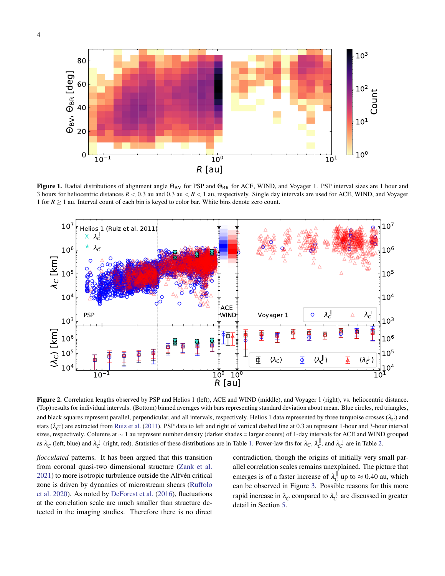



<span id="page-3-0"></span>Figure 1. Radial distributions of alignment angle  $\Theta_{BV}$  for PSP and  $\Theta_{BR}$  for ACE, WIND, and Voyager 1. PSP interval sizes are 1 hour and 3 hours for heliocentric distances *R* < 0.3 au and 0.3 au < *R* < 1 au, respectively. Single day intervals are used for ACE, WIND, and Voyager 1 for  $R \geq 1$  au. Interval count of each bin is keyed to color bar. White bins denote zero count.



<span id="page-3-1"></span>Figure 2. Correlation lengths observed by PSP and Helios 1 (left), ACE and WIND (middle), and Voyager 1 (right), vs. heliocentric distance. (Top) results for individual intervals. (Bottom) binned averages with bars representing standard deviation about mean. Blue circles, red triangles, and black squares represent parallel, perpendicular, and all intervals, respectively. Helios 1 data represented by three turquoise crosses  $(\lambda_C^{\parallel})$  and stars ( $\lambda_C^{\perp}$ ) are extracted from [Ruiz et al.](#page-7-11) [\(2011\)](#page-7-11). PSP data to left and right of vertical dashed line at 0.3 au represent 1-hour and 3-hour interval sizes, respectively. Columns at ∼ 1 au represent number density (darker shades = larger counts) of 1-day intervals for ACE and WIND grouped as  $\lambda_C^{\parallel}$  (left, blue) and  $\lambda_C^{\perp}$  (right, red). Statistics of these distributions are in Table [1.](#page-4-3) Power-law fits for  $\lambda_C$ ,  $\lambda_C^{\parallel}$ , and  $\lambda_C^{\perp}$  are in Table [2.](#page-4-1)

*flocculated* patterns. It has been argued that this transition from coronal quasi-two dimensional structure [\(Zank et al.](#page-8-0) [2021\)](#page-8-0) to more isotropic turbulence outside the Alfvén critical zone is driven by dynamics of microstream shears [\(Ruffolo](#page-7-26) [et al.](#page-7-26) [2020\)](#page-7-26). As noted by [DeForest et al.](#page-7-7) [\(2016\)](#page-7-7), fluctuations at the correlation scale are much smaller than structure detected in the imaging studies. Therefore there is no direct

contradiction, though the origins of initially very small parallel correlation scales remains unexplained. The picture that emerges is of a faster increase of  $\lambda_C^{\parallel}$  $\frac{parallel}{C}$  up to ≈ 0.40 au, which can be observed in Figure [3.](#page-4-2) Possible reasons for this more rapid increase in  $\lambda^{\parallel}_{C}$  $C^{\parallel}_C$  compared to  $\lambda_C^{\perp}$  are discussed in greater detail in Section [5.](#page-4-0)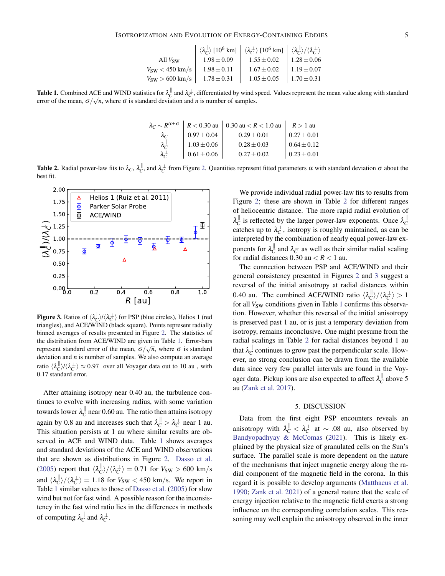|                                    |                 | $\langle \lambda_c^{\parallel} \rangle$ [10 <sup>6</sup> km] $\langle \lambda_c^{\perp} \rangle$ [10 <sup>6</sup> km] $\langle \lambda_c^{\parallel} \rangle / \langle \lambda_c^{\perp} \rangle$ |                 |
|------------------------------------|-----------------|---------------------------------------------------------------------------------------------------------------------------------------------------------------------------------------------------|-----------------|
| All $V_{SW}$                       | $1.98 \pm 0.09$ | $1.55 \pm 0.02$                                                                                                                                                                                   | $1.28 \pm 0.06$ |
| $V_{\text{sw}}$ $<$ 450 km/s       | $1.98 \pm 0.11$ | $1.67 \pm 0.02$                                                                                                                                                                                   | $1.19 \pm 0.07$ |
| $V_{\text{SW}} > 600 \text{ km/s}$ | $1.78 \pm 0.31$ | $1.05 \pm 0.05$                                                                                                                                                                                   | $1.70 \pm 0.31$ |

<span id="page-4-3"></span>**Table 1.** Combined ACE and WIND statistics for  $\lambda_C^{\parallel}$  and  $\lambda_C^{\perp}$ , differentiated by wind speed. Values represent the mean value along with standard error of the mean,  $\sigma/\sqrt{n}$ , where  $\sigma$  is standard deviation and *n* is number of samples.

| $\lambda_C \sim R^{\alpha \pm \sigma}$ | $R < 0.30$ au   | 0.30 au $<$ R $<$ 1.0 au | $R > 1$ au      |
|----------------------------------------|-----------------|--------------------------|-----------------|
| $\lambda_C$                            | $0.97 \pm 0.04$ | $0.29 \pm 0.01$          | $0.27 \pm 0.01$ |
| $\lambda_C^{\parallel}$                | $1.03 \pm 0.06$ | $0.28 \pm 0.03$          | $0.64 \pm 0.12$ |
| $\lambda_c^{\perp}$                    | $0.61 \pm 0.06$ | $0.27 + 0.02$            | $0.23 \pm 0.01$ |

<span id="page-4-1"></span>**Table [2.](#page-3-1)** Radial power-law fits to  $\lambda_C$ ,  $\lambda_C^{\parallel}$ , and  $\lambda_C^{\perp}$  from Figure 2. Quantities represent fitted parameters  $\alpha$  with standard deviation  $\sigma$  about the best fit.



<span id="page-4-2"></span>**Figure 3.** Ratios of  $\langle \lambda_C^{\parallel} \rangle / \langle \lambda_C^{\perp} \rangle$  for PSP (blue circles), Helios 1 (red triangles), and ACE/WIND (black square). Points represent radially binned averages of results presented in Figure [2.](#page-3-1) The statistics of the distribution from ACE/WIND are given in Table [1.](#page-4-3) Error-bars represent standard error of the mean,  $\sigma/\sqrt{n}$ , where  $\sigma$  is standard deviation and *n* is number of samples. We also compute an average ratio  $\langle \lambda_C^{\parallel} \rangle / \langle \lambda_C^{\perp} \rangle \approx 0.97$  over all Voyager data out to 10 au , with 0.17 standard error.

After attaining isotropy near 0.40 au, the turbulence continues to evolve with increasing radius, with some variation towards lower  $\lambda_{C}^{\, \parallel}$  $C_{\mathcal{C}}^{\parallel}$  near 0.60 au. The ratio then attains isotropy again by 0.8 au and increases such that  $\lambda_C^{\parallel} > \lambda_C^{\perp}$  near 1 au. This situation persists at 1 au where similar results are observed in ACE and WIND data. Table [1](#page-4-3) shows averages and standard deviations of the ACE and WIND observations that are shown as distributions in Figure [2.](#page-3-1) [Dasso et al.](#page-7-5) [\(2005\)](#page-7-5) report that  $\langle \lambda_C^{\parallel} \rangle$  $\langle C \rangle / \langle \lambda_C^{\perp} \rangle = 0.71$  for  $V_{SW} > 600$  km/s and  $\langle \lambda_C^{\parallel}$  $\binom{1}{C}/\langle \lambda_C^{\perp} \rangle = 1.18$  for  $V_{SW} < 450$  km/s. We report in Table [1](#page-4-3) similar values to those of [Dasso et al.](#page-7-5) [\(2005\)](#page-7-5) for slow wind but not for fast wind. A possible reason for the inconsistency in the fast wind ratio lies in the differences in methods of computing  $\lambda_{C}^{\parallel}$  $\frac{1}{C}$  and  $\lambda_C^{\perp}$ .

We provide individual radial power-law fits to results from Figure [2;](#page-3-1) these are shown in Table [2](#page-4-1) for different ranges of heliocentric distance. The more rapid radial evolution of  $\lambda_{C}^{\parallel}$  $C^{\parallel}_{C}$  is reflected by the larger power-law exponents. Once  $\lambda_C^{\parallel}$ *C* catches up to  $\lambda_c^{\perp}$ , isotropy is roughly maintained, as can be interpreted by the combination of nearly equal power-law exponents for  $\lambda^{\parallel}_{C}$  $\int_C^{\parallel}$  and  $\lambda_C^{\perp}$  as well as their similar radial scaling for radial distances  $0.30$  au  $\lt R \lt 1$  au.

The connection between PSP and ACE/WIND and their general consistency presented in Figures [2](#page-3-1) and [3](#page-4-2) suggest a reversal of the initial anisotropy at radial distances within 0.40 au. The combined ACE/WIND ratio  $\langle \lambda_C^{\parallel} \rangle$  $\langle C|\rangle/\langle\lambda_C^{\perp}\rangle > 1$ for all *V<sub>SW</sub>* conditions given in Table [1](#page-4-3) confirms this observation. However, whether this reversal of the initial anisotropy is preserved past 1 au, or is just a temporary deviation from isotropy, remains inconclusive. One might presume from the radial scalings in Table [2](#page-4-1) for radial distances beyond 1 au that  $\lambda_{C}^{\parallel}$  $C_{\mathcal{C}}^{\parallel}$  continues to grow past the perpendicular scale. However, no strong conclusion can be drawn from the available data since very few parallel intervals are found in the Voyager data. Pickup ions are also expected to affect  $\lambda_C^{\parallel}$  $\int_C^{\parallel}$  above 5 au [\(Zank et al.](#page-8-1) [2017\)](#page-8-1).

#### 5. DISCUSSION

<span id="page-4-0"></span>Data from the first eight PSP encounters reveals an anisotropy with  $\lambda_C^{\parallel} < \lambda_C^{\perp}$  at  $\sim .08$  au, also observed by [Bandyopadhyay & McComas](#page-7-13) [\(2021\)](#page-7-13). This is likely explained by the physical size of granulated cells on the Sun's surface. The parallel scale is more dependent on the nature of the mechanisms that inject magnetic energy along the radial component of the magnetic field in the corona. In this regard it is possible to develop arguments [\(Matthaeus et al.](#page-7-3) [1990;](#page-7-3) [Zank et al.](#page-8-0) [2021\)](#page-8-0) of a general nature that the scale of energy injection relative to the magnetic field exerts a strong influence on the corresponding correlation scales. This reasoning may well explain the anisotropy observed in the inner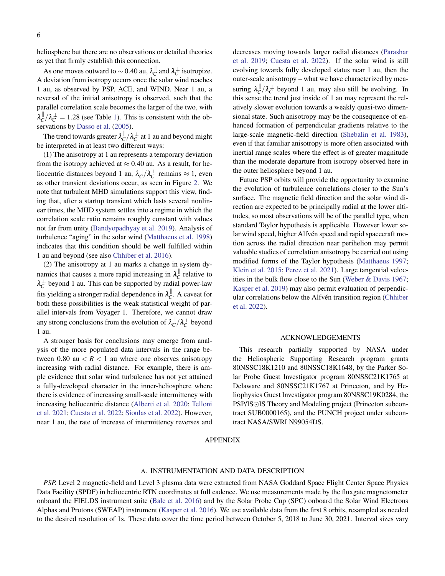heliosphere but there are no observations or detailed theories as yet that firmly establish this connection.

As one moves outward to  $\sim$  0.40 au,  $\lambda_{C}^{\parallel}$  $\int_C^{\parallel}$  and  $\lambda_C^{\perp}$  isotropize. A deviation from isotropy occurs once the solar wind reaches 1 au, as observed by PSP, ACE, and WIND. Near 1 au, a reversal of the initial anisotropy is observed, such that the parallel correlation scale becomes the larger of the two, with  $\lambda_{C}^{\parallel}$  $C_{\text{C}}^{\parallel}/\lambda_C^{\perp} = 1.28$  (see Table [1\)](#page-4-3). This is consistent with the ob-servations by [Dasso et al.](#page-7-5) [\(2005\)](#page-7-5).

The trend towards greater  $\lambda_C^{\parallel}$  $\int_C^{\parallel}/\lambda_C^{\perp}$  at 1 au and beyond might be interpreted in at least two different ways:

(1) The anisotropy at 1 au represents a temporary deviation from the isotropy achieved at  $\approx 0.40$  au. As a result, for heliocentric distances beyond 1 au,  $\lambda_C^{\parallel}$  $\int_C^{\parallel}/\lambda_C^{\perp}$  remains  $\approx 1$ , even as other transient deviations occur, as seen in Figure [2.](#page-3-1) We note that turbulent MHD simulations support this view, finding that, after a startup transient which lasts several nonlinear times, the MHD system settles into a regime in which the correlation scale ratio remains roughly constant with values not far from unity [\(Bandyopadhyay et al.](#page-7-27) [2019\)](#page-7-27). Analysis of turbulence "aging" in the solar wind [\(Matthaeus et al.](#page-7-21) [1998\)](#page-7-21) indicates that this condition should be well fulfilled within 1 au and beyond (see also [Chhiber et al.](#page-7-28) [2016\)](#page-7-28).

(2) The anisotropy at 1 au marks a change in system dynamics that causes a more rapid increasing in  $\lambda_{C}^{\parallel}$  $C$ <sup> $\parallel$ </sup> relative to  $\lambda_C^{\perp}$  beyond 1 au. This can be supported by radial power-law fits yielding a stronger radial dependence in  $\lambda_{C}^{\parallel}$  $C^{\parallel}$ . A caveat for both these possibilities is the weak statistical weight of parallel intervals from Voyager 1. Therefore, we cannot draw any strong conclusions from the evolution of  $\lambda_C^{\parallel}$  $\frac{||}{C}/λ_C^{\perp}$  beyond 1 au.

A stronger basis for conclusions may emerge from analysis of the more populated data intervals in the range between 0.80 au  $\lt R \lt 1$  au where one observes anisotropy increasing with radial distance. For example, there is ample evidence that solar wind turbulence has not yet attained a fully-developed character in the inner-heliosphere where there is evidence of increasing small-scale intermittency with increasing heliocentric distance [\(Alberti et al.](#page-7-29) [2020;](#page-7-29) [Telloni](#page-7-30) [et al.](#page-7-30) [2021;](#page-7-30) [Cuesta et al.](#page-7-31) [2022;](#page-7-31) [Sioulas et al.](#page-7-32) [2022\)](#page-7-32). However, near 1 au, the rate of increase of intermittency reverses and decreases moving towards larger radial distances [\(Parashar](#page-7-33) [et al.](#page-7-33) [2019;](#page-7-33) [Cuesta et al.](#page-7-31) [2022\)](#page-7-31). If the solar wind is still evolving towards fully developed status near 1 au, then the outer-scale anisotropy – what we have characterized by measuring  $\lambda_C^{\parallel}$  $\int_C^{\parallel}/\lambda_C^{\perp}$  beyond 1 au, may also still be evolving. In this sense the trend just inside of 1 au may represent the relatively slower evolution towards a weakly quasi-two dimensional state. Such anisotropy may be the consequence of enhanced formation of perpendicular gradients relative to the large-scale magnetic-field direction [\(Shebalin et al.](#page-7-2) [1983\)](#page-7-2), even if that familiar anisotropy is more often associated with inertial range scales where the effect is of greater magnitude than the moderate departure from isotropy observed here in the outer heliosphere beyond 1 au.

Future PSP orbits will provide the opportunity to examine the evolution of turbulence correlations closer to the Sun's surface. The magnetic field direction and the solar wind direction are expected to be principally radial at the lower altitudes, so most observations will be of the parallel type, when standard Taylor hypothesis is applicable. However lower solar wind speed, higher Alfvén speed and rapid spacecraft motion across the radial direction near perihelion may permit valuable studies of correlation anisotropy be carried out using modified forms of the Taylor hypothesis [\(Matthaeus](#page-7-34) [1997;](#page-7-34) [Klein et al.](#page-7-35) [2015;](#page-7-35) [Perez et al.](#page-7-16) [2021\)](#page-7-16). Large tangential velocities in the bulk flow close to the Sun [\(Weber & Davis](#page-7-36) [1967;](#page-7-36) [Kasper et al.](#page-7-19) [2019\)](#page-7-19) may also permit evaluation of perpendic-ular correlations below the Alfvén transition region ([Chhiber](#page-7-37) [et al.](#page-7-37) [2022\)](#page-7-37).

### ACKNOWLEDGEMENTS

This research partially supported by NASA under the Heliospheric Supporting Research program grants 80NSSC18K1210 and 80NSSC18K1648, by the Parker Solar Probe Guest Investigator program 80NSSC21K1765 at Delaware and 80NSSC21K1767 at Princeton, and by Heliophysics Guest Investigator program 80NSSC19K0284, the PSP/IS OIS Theory and Modeling project (Princeton subcontract SUB0000165), and the PUNCH project under subcontract NASA/SWRI N99054DS.

## APPENDIX

## A. INSTRUMENTATION AND DATA DESCRIPTION

<span id="page-5-0"></span>*PSP.* Level 2 magnetic-field and Level 3 plasma data were extracted from NASA Goddard Space Flight Center Space Physics Data Facility (SPDF) in heliocentric RTN coordinates at full cadence. We use measurements made by the fluxgate magnetometer onboard the FIELDS instrument suite [\(Bale et al.](#page-7-38) [2016\)](#page-7-38) and by the Solar Probe Cup (SPC) onboard the Solar Wind Electrons Alphas and Protons (SWEAP) instrument [\(Kasper et al.](#page-7-39) [2016\)](#page-7-39). We use available data from the first 8 orbits, resampled as needed to the desired resolution of 1s. These data cover the time period between October 5, 2018 to June 30, 2021. Interval sizes vary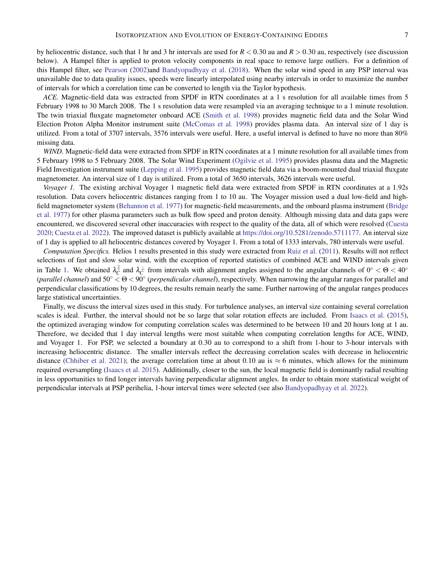by heliocentric distance, such that 1 hr and 3 hr intervals are used for *R* < 0.30 au and *R* > 0.30 au, respectively (see discussion below). A Hampel filter is applied to proton velocity components in real space to remove large outliers. For a definition of this Hampel filter, see [Pearson](#page-7-40) [\(2002\)](#page-7-40)and [Bandyopadhyay et al.](#page-7-41) [\(2018\)](#page-7-41). When the solar wind speed in any PSP interval was unavailable due to data quality issues, speeds were linearly interpolated using nearby intervals in order to maximize the number of intervals for which a correlation time can be converted to length via the Taylor hypothesis.

*ACE.* Magnetic-field data was extracted from SPDF in RTN coordinates at a 1 s resolution for all available times from 5 February 1998 to 30 March 2008. The 1 s resolution data were resampled via an averaging technique to a 1 minute resolution. The twin triaxial fluxgate magnetometer onboard ACE [\(Smith et al.](#page-7-42) [1998\)](#page-7-42) provides magnetic field data and the Solar Wind Election Proton Alpha Monitor instrument suite [\(McComas et al.](#page-7-43) [1998\)](#page-7-43) provides plasma data. An interval size of 1 day is utilized. From a total of 3707 intervals, 3576 intervals were useful. Here, a useful interval is defined to have no more than 80% missing data.

*WIND*. Magnetic-field data were extracted from SPDF in RTN coordinates at a 1 minute resolution for all available times from 5 February 1998 to 5 February 2008. The Solar Wind Experiment [\(Ogilvie et al.](#page-7-44) [1995\)](#page-7-44) provides plasma data and the Magnetic Field Investigation instrument suite [\(Lepping et al.](#page-7-45) [1995\)](#page-7-45) provides magnetic field data via a boom-mounted dual triaxial fluxgate magnetometer. An interval size of 1 day is utilized. From a total of 3650 intervals, 3626 intervals were useful.

*Voyager 1.* The existing archival Voyager 1 magnetic field data were extracted from SPDF in RTN coordinates at a 1.92s resolution. Data covers heliocentric distances ranging from 1 to 10 au. The Voyager mission used a dual low-field and highfield magnetometer system [\(Behannon et al.](#page-7-46) [1977\)](#page-7-46) for magnetic-field measurements, and the onboard plasma instrument [\(Bridge](#page-7-47) [et al.](#page-7-47) [1977\)](#page-7-47) for other plasma parameters such as bulk flow speed and proton density. Although missing data and data gaps were encountered, we discovered several other inaccuracies with respect to the quality of the data, all of which were resolved [\(Cuesta](#page-7-48) [2020;](#page-7-48) [Cuesta et al.](#page-7-31) [2022\)](#page-7-31). The improved dataset is publicly available at [https://doi.org/10.5281/zenodo.5711177.](https://doi.org/10.5281/zenodo.5711177) An interval size of 1 day is applied to all heliocentric distances covered by Voyager 1. From a total of 1333 intervals, 780 intervals were useful.

*Computation Specifics.* Helios 1 results presented in this study were extracted from [Ruiz et al.](#page-7-11) [\(2011\)](#page-7-11). Results will not reflect selections of fast and slow solar wind, with the exception of reported statistics of combined ACE and WIND intervals given in Table [1.](#page-4-3) We obtained  $\lambda_C^{\parallel}$  $\int_C^{\parallel}$  and  $\lambda_C^{\perp}$  from intervals with alignment angles assigned to the angular channels of  $0^{\circ} < \Theta < 40^{\circ}$ (*parallel channel*) and 50◦ < Θ < 90◦ (*perpendicular channel*), respectively. When narrowing the angular ranges for parallel and perpendicular classifications by 10 degrees, the results remain nearly the same. Further narrowing of the angular ranges produces large statistical uncertainties.

Finally, we discuss the interval sizes used in this study. For turbulence analyses, an interval size containing several correlation scales is ideal. Further, the interval should not be so large that solar rotation effects are included. From [Isaacs et al.](#page-7-24) [\(2015\)](#page-7-24), the optimized averaging window for computing correlation scales was determined to be between 10 and 20 hours long at 1 au. Therefore, we decided that 1 day interval lengths were most suitable when computing correlation lengths for ACE, WIND, and Voyager 1. For PSP, we selected a boundary at 0.30 au to correspond to a shift from 1-hour to 3-hour intervals with increasing heliocentric distance. The smaller intervals reflect the decreasing correlation scales with decrease in heliocentric distance [\(Chhiber et al.](#page-7-49) [2021\)](#page-7-49); the average correlation time at about 0.10 au is  $\approx 6$  minutes, which allows for the minimum required oversampling [\(Isaacs et al.](#page-7-24) [2015\)](#page-7-24). Additionally, closer to the sun, the local magnetic field is dominantly radial resulting in less opportunities to find longer intervals having perpendicular alignment angles. In order to obtain more statistical weight of perpendicular intervals at PSP perihelia, 1-hour interval times were selected (see also [Bandyopadhyay et al.](#page-7-50) [2022\)](#page-7-50).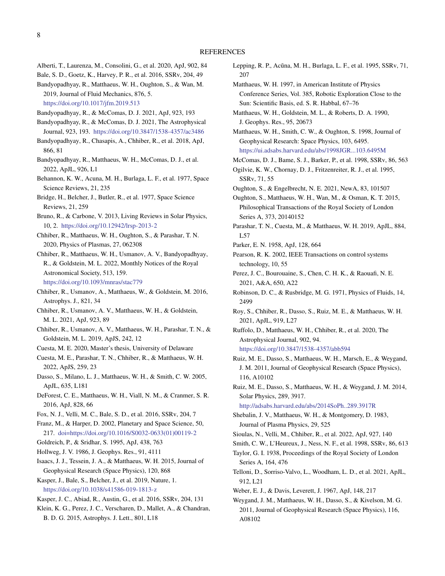- <span id="page-7-29"></span>Alberti, T., Laurenza, M., Consolini, G., et al. 2020, ApJ, 902, 84
- <span id="page-7-38"></span><span id="page-7-27"></span>Bale, S. D., Goetz, K., Harvey, P. R., et al. 2016, SSRv, 204, 49

Bandyopadhyay, R., Matthaeus, W. H., Oughton, S., & Wan, M. 2019, Journal of Fluid Mechanics, 876, 5. <https://doi.org/10.1017/jfm.2019.513>

<span id="page-7-13"></span>Bandyopadhyay, R., & McComas, D. J. 2021, ApJ, 923, 193

- <span id="page-7-25"></span>Bandyopadhyay, R., & McComas, D. J. 2021, The Astrophysical Journal, 923, 193. <https://doi.org/10.3847/1538-4357/ac3486>
- <span id="page-7-41"></span>Bandyopadhyay, R., Chasapis, A., Chhiber, R., et al. 2018, ApJ, 866, 81
- <span id="page-7-50"></span>Bandyopadhyay, R., Matthaeus, W. H., McComas, D. J., et al. 2022, ApJL, 926, L1
- <span id="page-7-46"></span>Behannon, K. W., Acuna, M. H., Burlaga, L. F., et al. 1977, Space Science Reviews, 21, 235
- <span id="page-7-47"></span>Bridge, H., Belcher, J., Butler, R., et al. 1977, Space Science Reviews, 21, 259
- <span id="page-7-22"></span>Bruno, R., & Carbone, V. 2013, Living Reviews in Solar Physics, 10, 2. <https://doi.org/10.12942/lrsp-2013-2>
- <span id="page-7-6"></span>Chhiber, R., Matthaeus, W. H., Oughton, S., & Parashar, T. N. 2020, Physics of Plasmas, 27, 062308

<span id="page-7-37"></span>Chhiber, R., Matthaeus, W. H., Usmanov, A. V., Bandyopadhyay, R., & Goldstein, M. L. 2022, Monthly Notices of the Royal Astronomical Society, 513, 159. <https://doi.org/10.1093/mnras/stac779>

- <span id="page-7-28"></span>Chhiber, R., Usmanov, A., Matthaeus, W., & Goldstein, M. 2016, Astrophys. J., 821, 34
- <span id="page-7-49"></span>Chhiber, R., Usmanov, A. V., Matthaeus, W. H., & Goldstein, M. L. 2021, ApJ, 923, 89
- <span id="page-7-15"></span>Chhiber, R., Usmanov, A. V., Matthaeus, W. H., Parashar, T. N., & Goldstein, M. L. 2019, ApJS, 242, 12
- <span id="page-7-48"></span>Cuesta, M. E. 2020, Master's thesis, University of Delaware
- <span id="page-7-31"></span>Cuesta, M. E., Parashar, T. N., Chhiber, R., & Matthaeus, W. H. 2022, ApJS, 259, 23
- <span id="page-7-5"></span>Dasso, S., Milano, L. J., Matthaeus, W. H., & Smith, C. W. 2005, ApJL, 635, L181
- <span id="page-7-7"></span>DeForest, C. E., Matthaeus, W. H., Viall, N. M., & Cranmer, S. R. 2016, ApJ, 828, 66
- <span id="page-7-9"></span>Fox, N. J., Velli, M. C., Bale, S. D., et al. 2016, SSRv, 204, 7
- <span id="page-7-18"></span>Franz, M., & Harper, D. 2002, Planetary and Space Science, 50, 217. [doi=https://doi.org/10.1016/S0032-0633\(01\)00119-2](doi = https://doi.org/10.1016/S0032-0633(01)00119-2)
- <span id="page-7-4"></span>Goldreich, P., & Sridhar, S. 1995, ApJ, 438, 763
- <span id="page-7-23"></span>Hollweg, J. V. 1986, J. Geophys. Res., 91, 4111
- <span id="page-7-24"></span>Isaacs, J. J., Tessein, J. A., & Matthaeus, W. H. 2015, Journal of Geophysical Research (Space Physics), 120, 868
- <span id="page-7-19"></span>Kasper, J., Bale, S., Belcher, J., et al. 2019, Nature, 1. <https://doi.org/10.1038/s41586-019-1813-z>
- <span id="page-7-39"></span>Kasper, J. C., Abiad, R., Austin, G., et al. 2016, SSRv, 204, 131
- <span id="page-7-35"></span>Klein, K. G., Perez, J. C., Verscharen, D., Mallet, A., & Chandran,
- B. D. G. 2015, Astrophys. J. Lett., 801, L18
- <span id="page-7-45"></span>Lepping, R. P., Acũna, M. H., Burlaga, L. F., et al. 1995, SSRv, 71, 207
- <span id="page-7-34"></span>Matthaeus, W. H. 1997, in American Institute of Physics Conference Series, Vol. 385, Robotic Exploration Close to the Sun: Scientific Basis, ed. S. R. Habbal, 67–76
- <span id="page-7-3"></span>Matthaeus, W. H., Goldstein, M. L., & Roberts, D. A. 1990, J. Geophys. Res., 95, 20673

<span id="page-7-21"></span>Matthaeus, W. H., Smith, C. W., & Oughton, S. 1998, Journal of Geophysical Research: Space Physics, 103, 6495. <https://ui.adsabs.harvard.edu/abs/1998JGR...103.6495M>

- <span id="page-7-43"></span>McComas, D. J., Bame, S. J., Barker, P., et al. 1998, SSRv, 86, 563
- <span id="page-7-44"></span>Ogilvie, K. W., Chornay, D. J., Fritzenreiter, R. J., et al. 1995, SSRv, 71, 55
- <span id="page-7-8"></span>Oughton, S., & Engelbrecht, N. E. 2021, NewA, 83, 101507

<span id="page-7-0"></span>Oughton, S., Matthaeus, W. H., Wan, M., & Osman, K. T. 2015, Philosophical Transactions of the Royal Society of London Series A, 373, 20140152

- <span id="page-7-33"></span>Parashar, T. N., Cuesta, M., & Matthaeus, W. H. 2019, ApJL, 884, L57
- <span id="page-7-10"></span>Parker, E. N. 1958, ApJ, 128, 664
- <span id="page-7-40"></span>Pearson, R. K. 2002, IEEE Transactions on control systems technology, 10, 55
- <span id="page-7-16"></span>Perez, J. C., Bourouaine, S., Chen, C. H. K., & Raouafi, N. E. 2021, A&A, 650, A22
- <span id="page-7-1"></span>Robinson, D. C., & Rusbridge, M. G. 1971, Physics of Fluids, 14, 2499
- <span id="page-7-17"></span>Roy, S., Chhiber, R., Dasso, S., Ruiz, M. E., & Matthaeus, W. H. 2021, ApJL, 919, L27
- <span id="page-7-26"></span>Ruffolo, D., Matthaeus, W. H., Chhiber, R., et al. 2020, The Astrophysical Journal, 902, 94. <https://doi.org/10.3847/1538-4357/abb594>
- <span id="page-7-11"></span>Ruiz, M. E., Dasso, S., Matthaeus, W. H., Marsch, E., & Weygand, J. M. 2011, Journal of Geophysical Research (Space Physics), 116, A10102
- <span id="page-7-20"></span>Ruiz, M. E., Dasso, S., Matthaeus, W. H., & Weygand, J. M. 2014, Solar Physics, 289, 3917.

<http://adsabs.harvard.edu/abs/2014SoPh..289.3917R>

- <span id="page-7-2"></span>Shebalin, J. V., Matthaeus, W. H., & Montgomery, D. 1983, Journal of Plasma Physics, 29, 525
- <span id="page-7-32"></span>Sioulas, N., Velli, M., Chhiber, R., et al. 2022, ApJ, 927, 140
- <span id="page-7-42"></span>Smith, C. W., L'Heureux, J., Ness, N. F., et al. 1998, SSRv, 86, 613
- <span id="page-7-14"></span>Taylor, G. I. 1938, Proceedings of the Royal Society of London Series A, 164, 476
- <span id="page-7-30"></span>Telloni, D., Sorriso-Valvo, L., Woodham, L. D., et al. 2021, ApJL, 912, L21
- <span id="page-7-36"></span>Weber, E. J., & Davis, Leverett, J. 1967, ApJ, 148, 217
- <span id="page-7-12"></span>Weygand, J. M., Matthaeus, W. H., Dasso, S., & Kivelson, M. G. 2011, Journal of Geophysical Research (Space Physics), 116, A08102